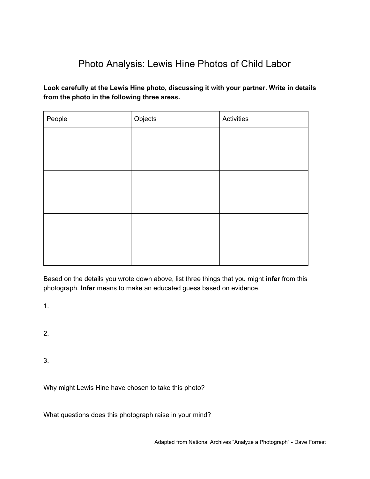## Photo Analysis: Lewis Hine Photos of Child Labor

**Look carefully at the Lewis Hine photo, discussing it with your partner. Write in details from the photo in the following three areas.**

| People | Objects | Activities |
|--------|---------|------------|
|        |         |            |
|        |         |            |
|        |         |            |
|        |         |            |
|        |         |            |
|        |         |            |
|        |         |            |
|        |         |            |
|        |         |            |
|        |         |            |

Based on the details you wrote down above, list three things that you might **infer** from this photograph. **Infer** means to make an educated guess based on evidence.

1.

2.

3.

Why might Lewis Hine have chosen to take this photo?

What questions does this photograph raise in your mind?